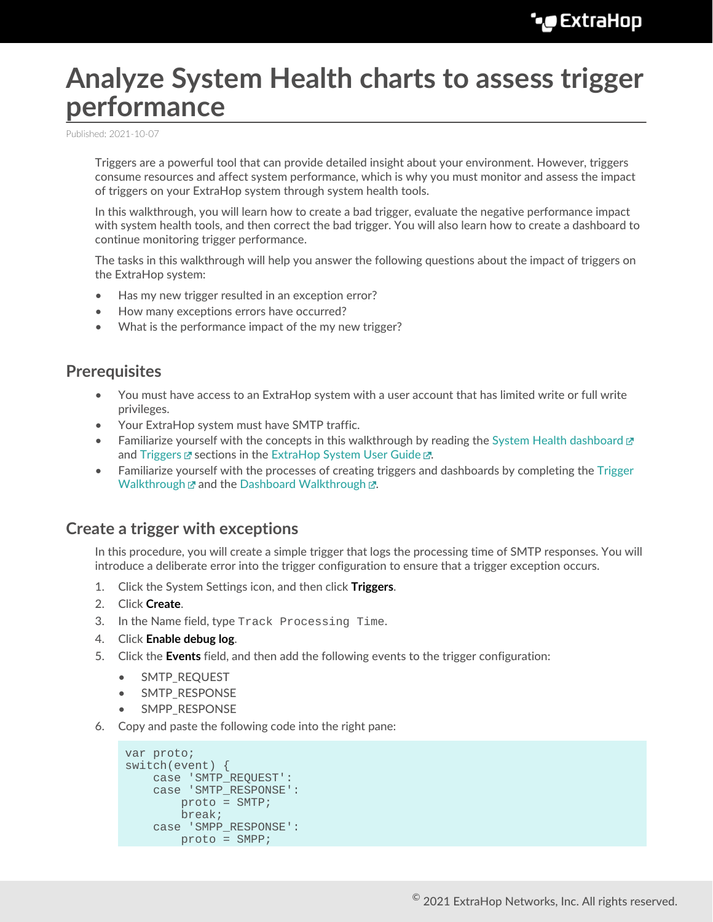# **Analyze System Health charts to assess trigger performance**

Published: 2021-10-07

Triggers are a powerful tool that can provide detailed insight about your environment. However, triggers consume resources and affect system performance, which is why you must monitor and assess the impact of triggers on your ExtraHop system through system health tools.

In this walkthrough, you will learn how to create a bad trigger, evaluate the negative performance impact with system health tools, and then correct the bad trigger. You will also learn how to create a dashboard to continue monitoring trigger performance.

The tasks in this walkthrough will help you answer the following questions about the impact of triggers on the ExtraHop system:

- Has my new trigger resulted in an exception error?
- How many exceptions errors have occurred?
- What is the performance impact of the my new trigger?

### **Prerequisites**

- You must have access to an ExtraHop system with a user account that has limited write or full write privileges.
- Your ExtraHop system must have SMTP traffic.
- Familiarize yourself with the concepts in this walkthrough by reading the [System Health dashboard](https://docs.extrahop.com/8.7/system-health-overview)  $\mathbb{F}$ and [Triggers](https://docs.extrahop.com/8.7/triggers-overview)  $\mathbb Z$  sections in the [ExtraHop System User Guide](https://docs.extrahop.com/8.7/eh-web-ui-guide/)  $\mathbb Z$ .
- Familiarize yourself with the processes of creating triggers and dashboards by completing the [Trigger](https://docs.extrahop.com/8.7/walkthrough-trigger) [Walkthrough](https://docs.extrahop.com/8.7/walkthrough-trigger)  $\mathbb Z$  and the Dashboard Walkthrough  $\mathbb Z$ .

### **Create a trigger with exceptions**

In this procedure, you will create a simple trigger that logs the processing time of SMTP responses. You will introduce a deliberate error into the trigger configuration to ensure that a trigger exception occurs.

- 1. Click the System Settings icon, and then click **Triggers**.
- 2. Click **Create**.
- 3. In the Name field, type Track Processing Time.
- 4. Click **Enable debug log**.
- 5. Click the **Events** field, and then add the following events to the trigger configuration:
	- SMTP\_REQUEST
	- SMTP\_RESPONSE
	- SMPP\_RESPONSE
- 6. Copy and paste the following code into the right pane:

```
var proto;
switch(event) {
    case 'SMTP_REQUEST':
     case 'SMTP_RESPONSE':
        proto = SMTP;
        break;
     case 'SMPP_RESPONSE':
        proto = SMPP;
```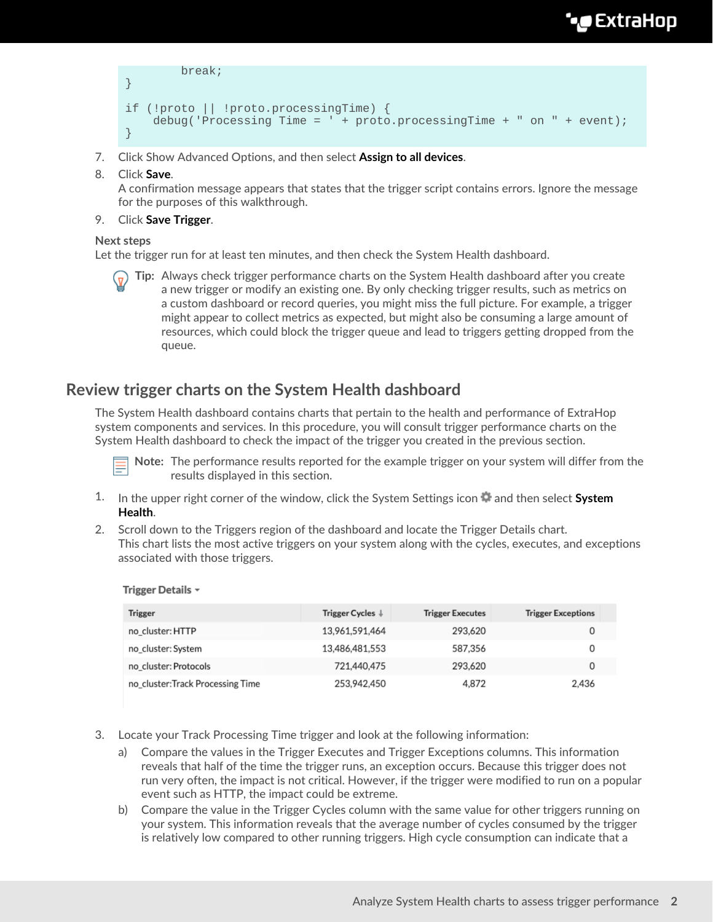## **'•@** ExtraHop

```
 break; 
} 
if (!proto || !proto.processingTime) {
     debug('Processing Time = ' + proto.processingTime + " on " + event);
}
```
- 7. Click Show Advanced Options, and then select **Assign to all devices**.
- 8. Click **Save**.

A confirmation message appears that states that the trigger script contains errors. Ignore the message for the purposes of this walkthrough.

9. Click **Save Trigger**.

#### **Next steps**

Let the trigger run for at least ten minutes, and then check the System Health dashboard.

**Tip:** Always check trigger performance charts on the System Health dashboard after you create a new trigger or modify an existing one. By only checking trigger results, such as metrics on a custom dashboard or record queries, you might miss the full picture. For example, a trigger might appear to collect metrics as expected, but might also be consuming a large amount of resources, which could block the trigger queue and lead to triggers getting dropped from the queue.

## **Review trigger charts on the System Health dashboard**

The System Health dashboard contains charts that pertain to the health and performance of ExtraHop system components and services. In this procedure, you will consult trigger performance charts on the System Health dashboard to check the impact of the trigger you created in the previous section.



**Note:** The performance results reported for the example trigger on your system will differ from the results displayed in this section.

- 1. In the upper right corner of the window, click the System Settings icon **and then select System Health**.
- 2. Scroll down to the Triggers region of the dashboard and locate the Trigger Details chart. This chart lists the most active triggers on your system along with the cycles, executes, and exceptions associated with those triggers.

| <b>Trigger</b>                   | Trigger Cycles ↓ | <b>Trigger Executes</b> | <b>Trigger Exceptions</b> |
|----------------------------------|------------------|-------------------------|---------------------------|
| no_cluster: HTTP                 | 13,961,591,464   | 293,620                 | 0                         |
| no cluster: System               | 13,486,481,553   | 587.356                 | 0                         |
| no cluster: Protocols            | 721,440,475      | 293,620                 | 0                         |
| no_cluster:Track Processing Time | 253,942,450      | 4.872                   | 2,436                     |

#### Trigger Details ~

- 3. Locate your Track Processing Time trigger and look at the following information:
	- a) Compare the values in the Trigger Executes and Trigger Exceptions columns. This information reveals that half of the time the trigger runs, an exception occurs. Because this trigger does not run very often, the impact is not critical. However, if the trigger were modified to run on a popular event such as HTTP, the impact could be extreme.
	- b) Compare the value in the Trigger Cycles column with the same value for other triggers running on your system. This information reveals that the average number of cycles consumed by the trigger is relatively low compared to other running triggers. High cycle consumption can indicate that a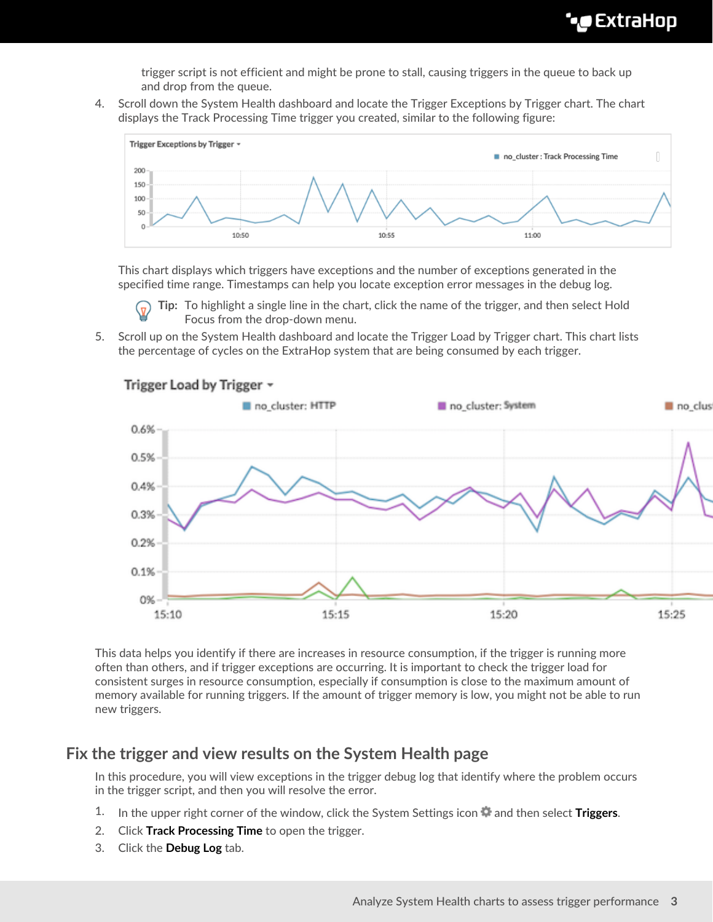trigger script is not efficient and might be prone to stall, causing triggers in the queue to back up and drop from the queue.

4. Scroll down the System Health dashboard and locate the Trigger Exceptions by Trigger chart. The chart displays the Track Processing Time trigger you created, similar to the following figure:



This chart displays which triggers have exceptions and the number of exceptions generated in the specified time range. Timestamps can help you locate exception error messages in the debug log.

**Tip:** To highlight a single line in the chart, click the name of the trigger, and then select Hold Focus from the drop-down menu.

5. Scroll up on the System Health dashboard and locate the Trigger Load by Trigger chart. This chart lists the percentage of cycles on the ExtraHop system that are being consumed by each trigger.



This data helps you identify if there are increases in resource consumption, if the trigger is running more often than others, and if trigger exceptions are occurring. It is important to check the trigger load for consistent surges in resource consumption, especially if consumption is close to the maximum amount of memory available for running triggers. If the amount of trigger memory is low, you might not be able to run new triggers.

## **Fix the trigger and view results on the System Health page**

In this procedure, you will view exceptions in the trigger debug log that identify where the problem occurs in the trigger script, and then you will resolve the error.

- 1. In the upper right corner of the window, click the System Settings icon and then select Triggers.
- 2. Click **Track Processing Time** to open the trigger.
- 3. Click the **Debug Log** tab.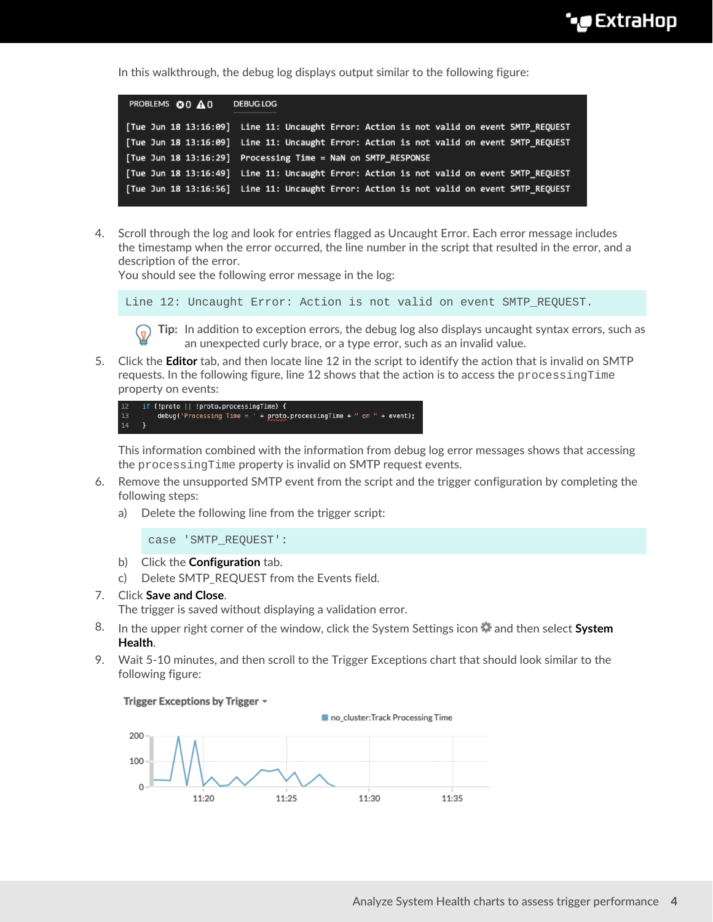In this walkthrough, the debug log displays output similar to the following figure:

| PROBLEMS <b>@0</b> A 0 |                                                              | <b>DEBUG LOG</b> |  |  |  |  |                                                                                          |  |
|------------------------|--------------------------------------------------------------|------------------|--|--|--|--|------------------------------------------------------------------------------------------|--|
|                        |                                                              |                  |  |  |  |  | [Tue Jun 18 13:16:09] Line 11: Uncaught Error: Action is not valid on event SMTP REQUEST |  |
|                        |                                                              |                  |  |  |  |  | [Tue Jun 18 13:16:09] Line 11: Uncaught Error: Action is not valid on event SMTP REQUEST |  |
|                        | [Tue Jun 18 13:16:29] Processing Time = NaN on SMTP RESPONSE |                  |  |  |  |  |                                                                                          |  |
|                        |                                                              |                  |  |  |  |  | [Tue Jun 18 13:16:49] Line 11: Uncaught Error: Action is not valid on event SMTP REQUEST |  |
|                        |                                                              |                  |  |  |  |  | [Tue Jun 18 13:16:56] Line 11: Uncaught Error: Action is not valid on event SMTP REOUEST |  |

4. Scroll through the log and look for entries flagged as Uncaught Error. Each error message includes the timestamp when the error occurred, the line number in the script that resulted in the error, and a description of the error.

You should see the following error message in the log:

Line 12: Uncaught Error: Action is not valid on event SMTP\_REQUEST.

**Tip:** In addition to exception errors, the debug log also displays uncaught syntax errors, such as an unexpected curly brace, or a type error, such as an invalid value.

5. Click the **Editor** tab, and then locate line 12 in the script to identify the action that is invalid on SMTP requests. In the following figure, line 12 shows that the action is to access the processingTime property on events:

```
(!proto || !proto.processingTime) {
         debug('Processing Time = ' + proto.processingTime + " on " + event);
14
```
This information combined with the information from debug log error messages shows that accessing the processingTime property is invalid on SMTP request events.

- 6. Remove the unsupported SMTP event from the script and the trigger configuration by completing the following steps:
	- a) Delete the following line from the trigger script:

case 'SMTP\_REQUEST':

- b) Click the **Configuration** tab.
- c) Delete SMTP\_REQUEST from the Events field.
- 7. Click **Save and Close**.
	- The trigger is saved without displaying a validation error.
- 8. In the upper right corner of the window, click the System Settings icon **and then select System Health**.
- 9. Wait 5-10 minutes, and then scroll to the Trigger Exceptions chart that should look similar to the following figure:

Trigger Exceptions by Trigger ~



Analyze System Health charts to assess trigger performance **4**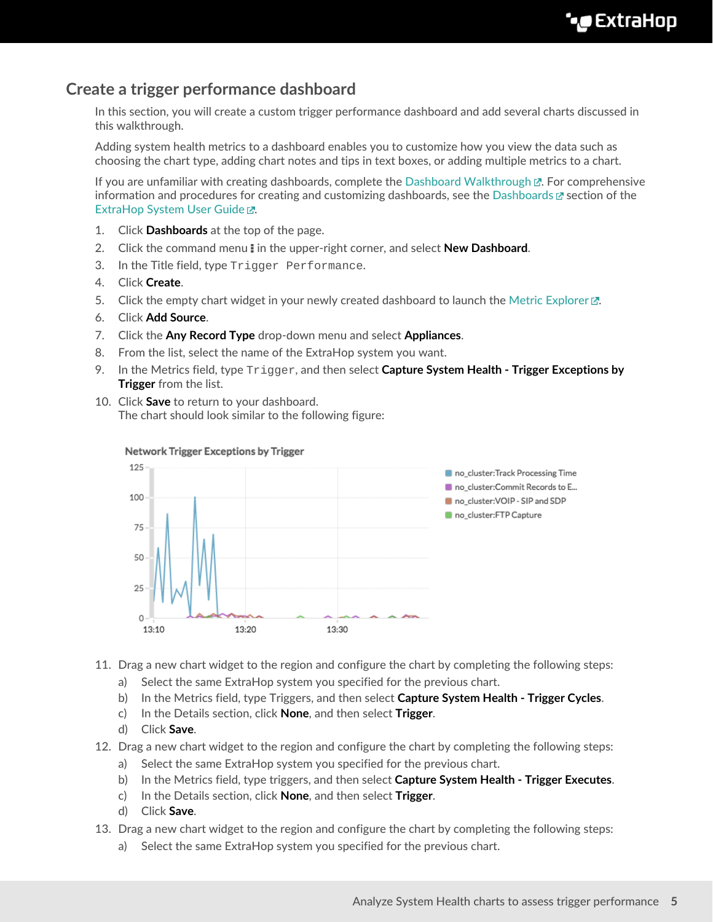## **Create a trigger performance dashboard**

In this section, you will create a custom trigger performance dashboard and add several charts discussed in this walkthrough.

Adding system health metrics to a dashboard enables you to customize how you view the data such as choosing the chart type, adding chart notes and tips in text boxes, or adding multiple metrics to a chart.

If you are unfamiliar with creating dashboards, complete the Dashboard Walkthrough  $\mathbb{Z}$ . For comprehensive information and procedures for creating and customizing dashboards, see the [Dashboards](https://docs.extrahop.com/8.7/eh-web-ui-guide/#dashboards)  $\alpha$  section of the [ExtraHop System User Guide .](https://docs.extrahop.com/8.7/eh-web-ui-guide/)..

- 1. Click **Dashboards** at the top of the page.
- 2. Click the command menu **i** in the upper-right corner, and select **New Dashboard**.
- 3. In the Title field, type Trigger Performance.
- 4. Click **Create**.
- 5. Click the empty chart widget in your newly created dashboard to launch the [Metric Explorer](https://docs.extrahop.com/8.7/eh-web-ui-guide/#metric-explorer)  $\mathbb{Z}$ .
- 6. Click **Add Source**.
- 7. Click the **Any Record Type** drop-down menu and select **Appliances**.
- 8. From the list, select the name of the ExtraHop system you want.
- 9. In the Metrics field, type Trigger, and then select **Capture System Health Trigger Exceptions by Trigger** from the list.
- 10. Click **Save** to return to your dashboard. The chart should look similar to the following figure:



#### Network Trigger Exceptions by Trigger

- 11. Drag a new chart widget to the region and configure the chart by completing the following steps:
	- a) Select the same ExtraHop system you specified for the previous chart.
	- b) In the Metrics field, type Triggers, and then select **Capture System Health Trigger Cycles**.
	- c) In the Details section, click **None**, and then select **Trigger**.
	- d) Click **Save**.
- 12. Drag a new chart widget to the region and configure the chart by completing the following steps:
	- a) Select the same ExtraHop system you specified for the previous chart.
	- b) In the Metrics field, type triggers, and then select **Capture System Health Trigger Executes**.
	- c) In the Details section, click **None**, and then select **Trigger**.
	- d) Click **Save**.
- 13. Drag a new chart widget to the region and configure the chart by completing the following steps:
	- a) Select the same ExtraHop system you specified for the previous chart.